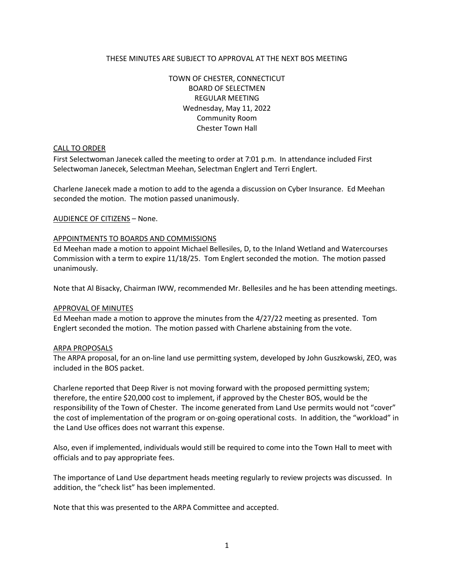# THESE MINUTES ARE SUBJECT TO APPROVAL AT THE NEXT BOS MEETING

TOWN OF CHESTER, CONNECTICUT BOARD OF SELECTMEN REGULAR MEETING Wednesday, May 11, 2022 Community Room Chester Town Hall

### CALL TO ORDER

First Selectwoman Janecek called the meeting to order at 7:01 p.m. In attendance included First Selectwoman Janecek, Selectman Meehan, Selectman Englert and Terri Englert.

Charlene Janecek made a motion to add to the agenda a discussion on Cyber Insurance. Ed Meehan seconded the motion. The motion passed unanimously.

## AUDIENCE OF CITIZENS – None.

## APPOINTMENTS TO BOARDS AND COMMISSIONS

Ed Meehan made a motion to appoint Michael Bellesiles, D, to the Inland Wetland and Watercourses Commission with a term to expire 11/18/25. Tom Englert seconded the motion. The motion passed unanimously.

Note that Al Bisacky, Chairman IWW, recommended Mr. Bellesiles and he has been attending meetings.

### APPROVAL OF MINUTES

Ed Meehan made a motion to approve the minutes from the 4/27/22 meeting as presented. Tom Englert seconded the motion. The motion passed with Charlene abstaining from the vote.

### ARPA PROPOSALS

The ARPA proposal, for an on-line land use permitting system, developed by John Guszkowski, ZEO, was included in the BOS packet.

Charlene reported that Deep River is not moving forward with the proposed permitting system; therefore, the entire \$20,000 cost to implement, if approved by the Chester BOS, would be the responsibility of the Town of Chester. The income generated from Land Use permits would not "cover" the cost of implementation of the program or on-going operational costs. In addition, the "workload" in the Land Use offices does not warrant this expense.

Also, even if implemented, individuals would still be required to come into the Town Hall to meet with officials and to pay appropriate fees.

The importance of Land Use department heads meeting regularly to review projects was discussed. In addition, the "check list" has been implemented.

Note that this was presented to the ARPA Committee and accepted.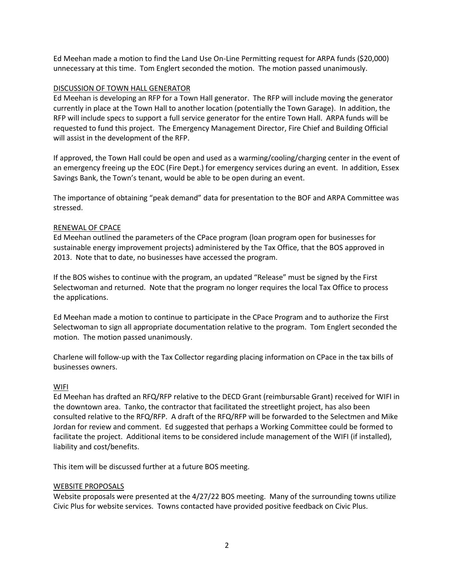Ed Meehan made a motion to find the Land Use On-Line Permitting request for ARPA funds (\$20,000) unnecessary at this time. Tom Englert seconded the motion. The motion passed unanimously.

# DISCUSSION OF TOWN HALL GENERATOR

Ed Meehan is developing an RFP for a Town Hall generator. The RFP will include moving the generator currently in place at the Town Hall to another location (potentially the Town Garage). In addition, the RFP will include specs to support a full service generator for the entire Town Hall. ARPA funds will be requested to fund this project. The Emergency Management Director, Fire Chief and Building Official will assist in the development of the RFP.

If approved, the Town Hall could be open and used as a warming/cooling/charging center in the event of an emergency freeing up the EOC (Fire Dept.) for emergency services during an event. In addition, Essex Savings Bank, the Town's tenant, would be able to be open during an event.

The importance of obtaining "peak demand" data for presentation to the BOF and ARPA Committee was stressed.

# RENEWAL OF CPACE

Ed Meehan outlined the parameters of the CPace program (loan program open for businesses for sustainable energy improvement projects) administered by the Tax Office, that the BOS approved in 2013. Note that to date, no businesses have accessed the program.

If the BOS wishes to continue with the program, an updated "Release" must be signed by the First Selectwoman and returned. Note that the program no longer requires the local Tax Office to process the applications.

Ed Meehan made a motion to continue to participate in the CPace Program and to authorize the First Selectwoman to sign all appropriate documentation relative to the program. Tom Englert seconded the motion. The motion passed unanimously.

Charlene will follow-up with the Tax Collector regarding placing information on CPace in the tax bills of businesses owners.

# WIFI

Ed Meehan has drafted an RFQ/RFP relative to the DECD Grant (reimbursable Grant) received for WIFI in the downtown area. Tanko, the contractor that facilitated the streetlight project, has also been consulted relative to the RFQ/RFP. A draft of the RFQ/RFP will be forwarded to the Selectmen and Mike Jordan for review and comment. Ed suggested that perhaps a Working Committee could be formed to facilitate the project. Additional items to be considered include management of the WIFI (if installed), liability and cost/benefits.

This item will be discussed further at a future BOS meeting.

# WEBSITE PROPOSALS

Website proposals were presented at the 4/27/22 BOS meeting. Many of the surrounding towns utilize Civic Plus for website services. Towns contacted have provided positive feedback on Civic Plus.